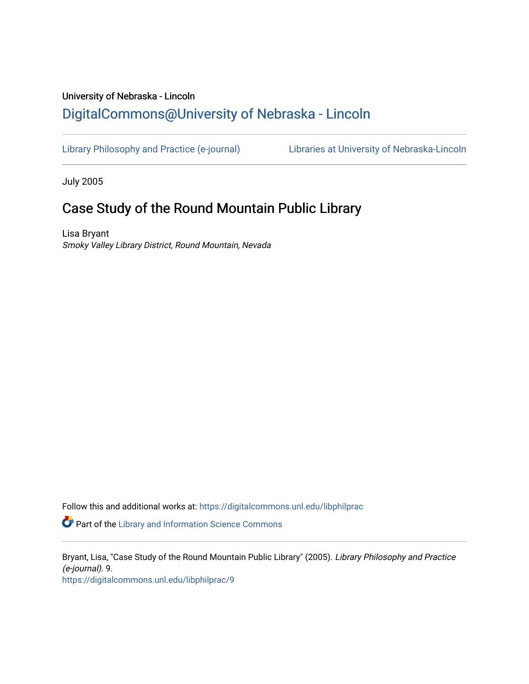# University of Nebraska - Lincoln [DigitalCommons@University of Nebraska - Lincoln](https://digitalcommons.unl.edu/)

[Library Philosophy and Practice \(e-journal\)](https://digitalcommons.unl.edu/libphilprac) [Libraries at University of Nebraska-Lincoln](https://digitalcommons.unl.edu/libraries) 

July 2005

# Case Study of the Round Mountain Public Library

Lisa Bryant Smoky Valley Library District, Round Mountain, Nevada

Follow this and additional works at: [https://digitalcommons.unl.edu/libphilprac](https://digitalcommons.unl.edu/libphilprac?utm_source=digitalcommons.unl.edu%2Flibphilprac%2F9&utm_medium=PDF&utm_campaign=PDFCoverPages) 

**Part of the Library and Information Science Commons** 

Bryant, Lisa, "Case Study of the Round Mountain Public Library" (2005). Library Philosophy and Practice (e-journal). 9. [https://digitalcommons.unl.edu/libphilprac/9](https://digitalcommons.unl.edu/libphilprac/9?utm_source=digitalcommons.unl.edu%2Flibphilprac%2F9&utm_medium=PDF&utm_campaign=PDFCoverPages)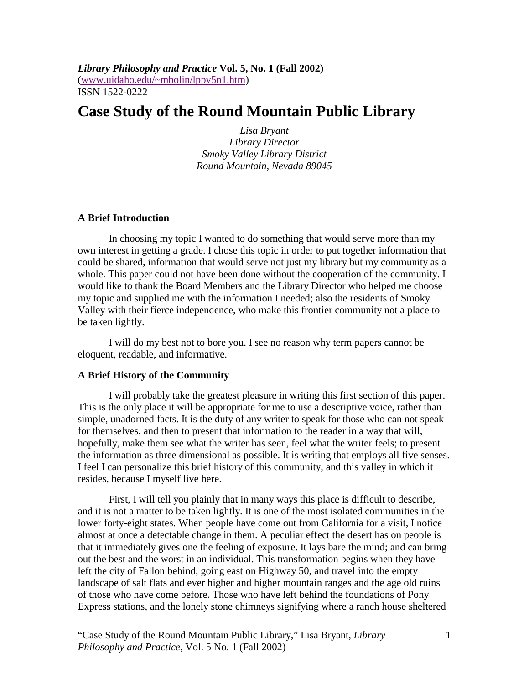*Library Philosophy and Practice* **Vol. 5, No. 1 (Fall 2002)**  (www.uidaho.edu/~mbolin/lppv5n1.htm) ISSN 1522-0222

## **Case Study of the Round Mountain Public Library**

*Lisa Bryant Library Director Smoky Valley Library District Round Mountain, Nevada 89045* 

## **A Brief Introduction**

In choosing my topic I wanted to do something that would serve more than my own interest in getting a grade. I chose this topic in order to put together information that could be shared, information that would serve not just my library but my community as a whole. This paper could not have been done without the cooperation of the community. I would like to thank the Board Members and the Library Director who helped me choose my topic and supplied me with the information I needed; also the residents of Smoky Valley with their fierce independence, who make this frontier community not a place to be taken lightly.

I will do my best not to bore you. I see no reason why term papers cannot be eloquent, readable, and informative.

## **A Brief History of the Community**

I will probably take the greatest pleasure in writing this first section of this paper. This is the only place it will be appropriate for me to use a descriptive voice, rather than simple, unadorned facts. It is the duty of any writer to speak for those who can not speak for themselves, and then to present that information to the reader in a way that will, hopefully, make them see what the writer has seen, feel what the writer feels; to present the information as three dimensional as possible. It is writing that employs all five senses. I feel I can personalize this brief history of this community, and this valley in which it resides, because I myself live here.

First, I will tell you plainly that in many ways this place is difficult to describe, and it is not a matter to be taken lightly. It is one of the most isolated communities in the lower forty-eight states. When people have come out from California for a visit, I notice almost at once a detectable change in them. A peculiar effect the desert has on people is that it immediately gives one the feeling of exposure. It lays bare the mind; and can bring out the best and the worst in an individual. This transformation begins when they have left the city of Fallon behind, going east on Highway 50, and travel into the empty landscape of salt flats and ever higher and higher mountain ranges and the age old ruins of those who have come before. Those who have left behind the foundations of Pony Express stations, and the lonely stone chimneys signifying where a ranch house sheltered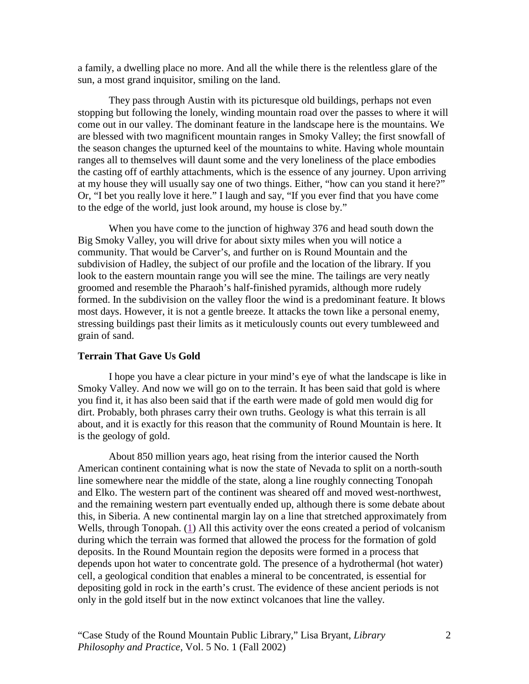a family, a dwelling place no more. And all the while there is the relentless glare of the sun, a most grand inquisitor, smiling on the land.

They pass through Austin with its picturesque old buildings, perhaps not even stopping but following the lonely, winding mountain road over the passes to where it will come out in our valley. The dominant feature in the landscape here is the mountains. We are blessed with two magnificent mountain ranges in Smoky Valley; the first snowfall of the season changes the upturned keel of the mountains to white. Having whole mountain ranges all to themselves will daunt some and the very loneliness of the place embodies the casting off of earthly attachments, which is the essence of any journey. Upon arriving at my house they will usually say one of two things. Either, "how can you stand it here?" Or, "I bet you really love it here." I laugh and say, "If you ever find that you have come to the edge of the world, just look around, my house is close by."

When you have come to the junction of highway 376 and head south down the Big Smoky Valley, you will drive for about sixty miles when you will notice a community. That would be Carver's, and further on is Round Mountain and the subdivision of Hadley, the subject of our profile and the location of the library. If you look to the eastern mountain range you will see the mine. The tailings are very neatly groomed and resemble the Pharaoh's half-finished pyramids, although more rudely formed. In the subdivision on the valley floor the wind is a predominant feature. It blows most days. However, it is not a gentle breeze. It attacks the town like a personal enemy, stressing buildings past their limits as it meticulously counts out every tumbleweed and grain of sand.

## **Terrain That Gave Us Gold**

I hope you have a clear picture in your mind's eye of what the landscape is like in Smoky Valley. And now we will go on to the terrain. It has been said that gold is where you find it, it has also been said that if the earth were made of gold men would dig for dirt. Probably, both phrases carry their own truths. Geology is what this terrain is all about, and it is exactly for this reason that the community of Round Mountain is here. It is the geology of gold.

About 850 million years ago, heat rising from the interior caused the North American continent containing what is now the state of Nevada to split on a north-south line somewhere near the middle of the state, along a line roughly connecting Tonopah and Elko. The western part of the continent was sheared off and moved west-northwest, and the remaining western part eventually ended up, although there is some debate about this, in Siberia. A new continental margin lay on a line that stretched approximately from Wells, through Tonopah. (1) All this activity over the eons created a period of volcanism during which the terrain was formed that allowed the process for the formation of gold deposits. In the Round Mountain region the deposits were formed in a process that depends upon hot water to concentrate gold. The presence of a hydrothermal (hot water) cell, a geological condition that enables a mineral to be concentrated, is essential for depositing gold in rock in the earth's crust. The evidence of these ancient periods is not only in the gold itself but in the now extinct volcanoes that line the valley.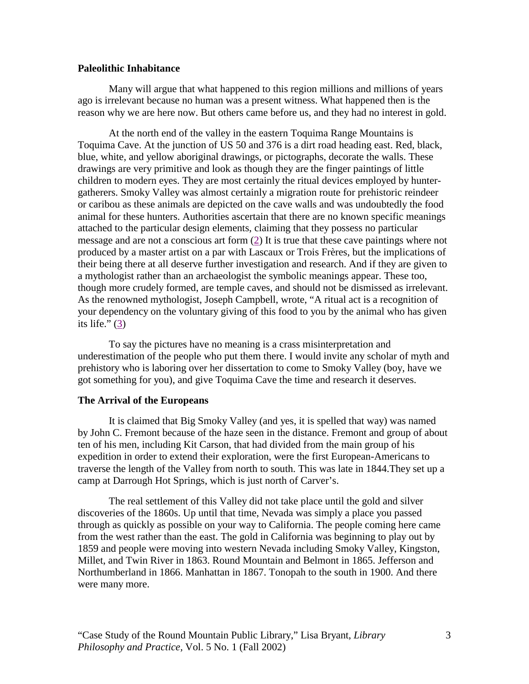## **Paleolithic Inhabitance**

Many will argue that what happened to this region millions and millions of years ago is irrelevant because no human was a present witness. What happened then is the reason why we are here now. But others came before us, and they had no interest in gold.

At the north end of the valley in the eastern Toquima Range Mountains is Toquima Cave. At the junction of US 50 and 376 is a dirt road heading east. Red, black, blue, white, and yellow aboriginal drawings, or pictographs, decorate the walls. These drawings are very primitive and look as though they are the finger paintings of little children to modern eyes. They are most certainly the ritual devices employed by huntergatherers. Smoky Valley was almost certainly a migration route for prehistoric reindeer or caribou as these animals are depicted on the cave walls and was undoubtedly the food animal for these hunters. Authorities ascertain that there are no known specific meanings attached to the particular design elements, claiming that they possess no particular message and are not a conscious art form  $(2)$  It is true that these cave paintings where not produced by a master artist on a par with Lascaux or Trois Frères, but the implications of their being there at all deserve further investigation and research. And if they are given to a mythologist rather than an archaeologist the symbolic meanings appear. These too, though more crudely formed, are temple caves, and should not be dismissed as irrelevant. As the renowned mythologist, Joseph Campbell, wrote, "A ritual act is a recognition of your dependency on the voluntary giving of this food to you by the animal who has given its life." $(3)$ 

To say the pictures have no meaning is a crass misinterpretation and underestimation of the people who put them there. I would invite any scholar of myth and prehistory who is laboring over her dissertation to come to Smoky Valley (boy, have we got something for you), and give Toquima Cave the time and research it deserves.

### **The Arrival of the Europeans**

It is claimed that Big Smoky Valley (and yes, it is spelled that way) was named by John C. Fremont because of the haze seen in the distance. Fremont and group of about ten of his men, including Kit Carson, that had divided from the main group of his expedition in order to extend their exploration, were the first European-Americans to traverse the length of the Valley from north to south. This was late in 1844.They set up a camp at Darrough Hot Springs, which is just north of Carver's.

The real settlement of this Valley did not take place until the gold and silver discoveries of the 1860s. Up until that time, Nevada was simply a place you passed through as quickly as possible on your way to California. The people coming here came from the west rather than the east. The gold in California was beginning to play out by 1859 and people were moving into western Nevada including Smoky Valley, Kingston, Millet, and Twin River in 1863. Round Mountain and Belmont in 1865. Jefferson and Northumberland in 1866. Manhattan in 1867. Tonopah to the south in 1900. And there were many more.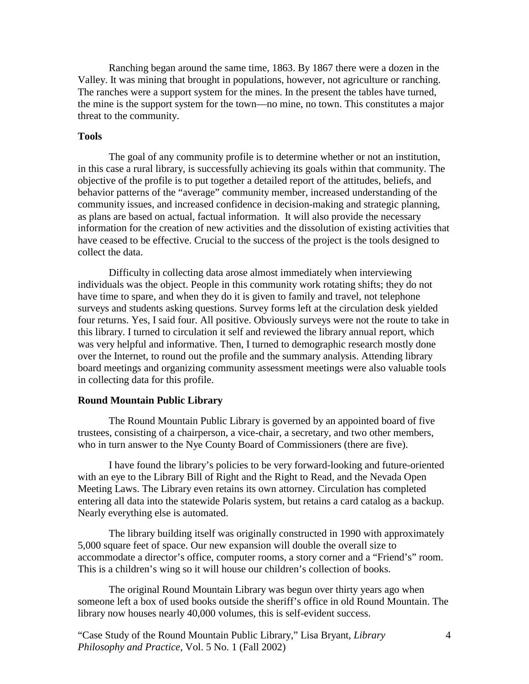Ranching began around the same time, 1863. By 1867 there were a dozen in the Valley. It was mining that brought in populations, however, not agriculture or ranching. The ranches were a support system for the mines. In the present the tables have turned, the mine is the support system for the town—no mine, no town. This constitutes a major threat to the community.

## **Tools**

The goal of any community profile is to determine whether or not an institution, in this case a rural library, is successfully achieving its goals within that community. The objective of the profile is to put together a detailed report of the attitudes, beliefs, and behavior patterns of the "average" community member, increased understanding of the community issues, and increased confidence in decision-making and strategic planning, as plans are based on actual, factual information. It will also provide the necessary information for the creation of new activities and the dissolution of existing activities that have ceased to be effective. Crucial to the success of the project is the tools designed to collect the data.

Difficulty in collecting data arose almost immediately when interviewing individuals was the object. People in this community work rotating shifts; they do not have time to spare, and when they do it is given to family and travel, not telephone surveys and students asking questions. Survey forms left at the circulation desk yielded four returns. Yes, I said four. All positive. Obviously surveys were not the route to take in this library. I turned to circulation it self and reviewed the library annual report, which was very helpful and informative. Then, I turned to demographic research mostly done over the Internet, to round out the profile and the summary analysis. Attending library board meetings and organizing community assessment meetings were also valuable tools in collecting data for this profile.

## **Round Mountain Public Library**

The Round Mountain Public Library is governed by an appointed board of five trustees, consisting of a chairperson, a vice-chair, a secretary, and two other members, who in turn answer to the Nye County Board of Commissioners (there are five).

I have found the library's policies to be very forward-looking and future-oriented with an eye to the Library Bill of Right and the Right to Read, and the Nevada Open Meeting Laws. The Library even retains its own attorney. Circulation has completed entering all data into the statewide Polaris system, but retains a card catalog as a backup. Nearly everything else is automated.

The library building itself was originally constructed in 1990 with approximately 5,000 square feet of space. Our new expansion will double the overall size to accommodate a director's office, computer rooms, a story corner and a "Friend's" room. This is a children's wing so it will house our children's collection of books.

The original Round Mountain Library was begun over thirty years ago when someone left a box of used books outside the sheriff's office in old Round Mountain. The library now houses nearly 40,000 volumes, this is self-evident success.

"Case Study of the Round Mountain Public Library," Lisa Bryant, *Library Philosophy and Practice,* Vol. 5 No. 1 (Fall 2002)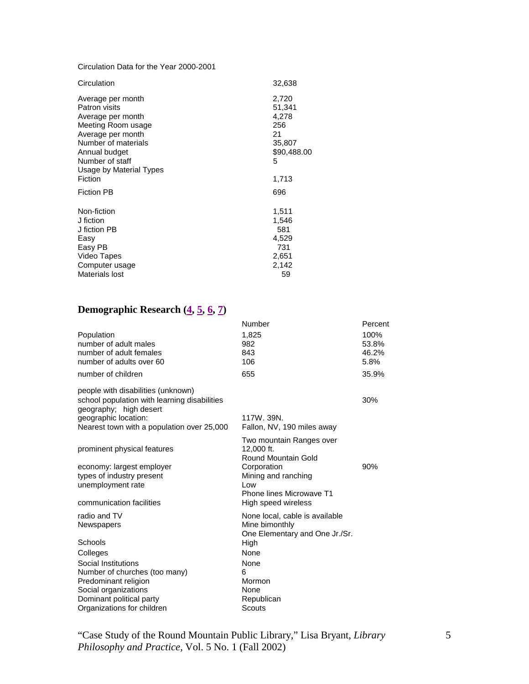Circulation Data for the Year 2000-2001

| Circulation                                                                                                                                | 32,638                                                         |
|--------------------------------------------------------------------------------------------------------------------------------------------|----------------------------------------------------------------|
| Average per month<br>Patron visits<br>Average per month<br>Meeting Room usage<br>Average per month<br>Number of materials<br>Annual budget | 2,720<br>51,341<br>4,278<br>256<br>21<br>35,807<br>\$90,488.00 |
| Number of staff<br>Usage by Material Types                                                                                                 | 5                                                              |
| Fiction                                                                                                                                    | 1,713                                                          |
| <b>Fiction PB</b>                                                                                                                          | 696                                                            |
| Non-fiction<br>J fiction                                                                                                                   | 1,511<br>1,546                                                 |
| J fiction PB                                                                                                                               | 581                                                            |
| Easy<br>Easy PB                                                                                                                            | 4,529<br>731                                                   |
| Video Tapes                                                                                                                                | 2,651                                                          |
| Computer usage                                                                                                                             | 2,142                                                          |
| Materials lost                                                                                                                             | 59                                                             |

## **Demographic Research (4, 5, 6, 7)**

|                                                                                                                                                                                                                     | Number                                                                                                                                                        | Percent                        |
|---------------------------------------------------------------------------------------------------------------------------------------------------------------------------------------------------------------------|---------------------------------------------------------------------------------------------------------------------------------------------------------------|--------------------------------|
| Population<br>number of adult males<br>number of adult females<br>number of adults over 60                                                                                                                          | 1,825<br>982<br>843<br>106                                                                                                                                    | 100%<br>53.8%<br>46.2%<br>5.8% |
| number of children                                                                                                                                                                                                  | 655                                                                                                                                                           | 35.9%                          |
| people with disabilities (unknown)<br>school population with learning disabilities<br>geography; high desert<br>geographic location:<br>Nearest town with a population over 25,000                                  | 117W. 39N.<br>Fallon, NV, 190 miles away                                                                                                                      | 30%                            |
| prominent physical features<br>economy: largest employer<br>types of industry present<br>unemployment rate<br>communication facilities                                                                              | Two mountain Ranges over<br>12,000 ft.<br>Round Mountain Gold<br>Corporation<br>Mining and ranching<br>Low<br>Phone lines Microwave T1<br>High speed wireless | 90%                            |
| radio and TV<br>Newspapers<br>Schools<br>Colleges<br>Social Institutions<br>Number of churches (too many)<br>Predominant religion<br>Social organizations<br>Dominant political party<br>Organizations for children | None local, cable is available<br>Mine bimonthly<br>One Elementary and One Jr./Sr.<br>High<br>None<br>None<br>6<br>Mormon<br>None<br>Republican<br>Scouts     |                                |

"Case Study of the Round Mountain Public Library," Lisa Bryant, *Library Philosophy and Practice,* Vol. 5 No. 1 (Fall 2002)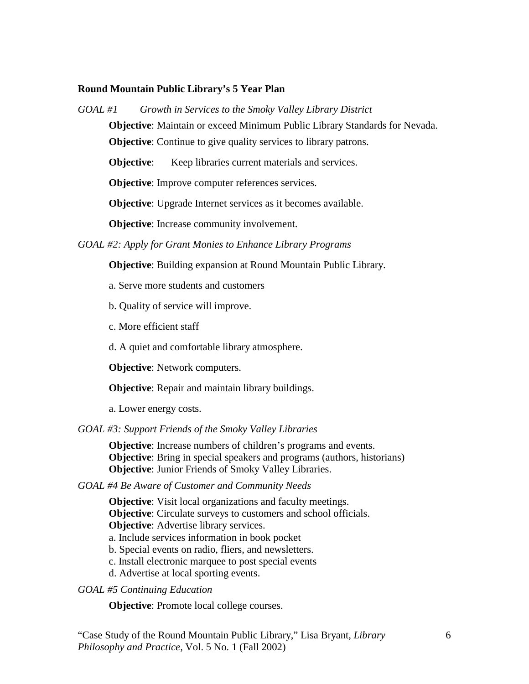## **Round Mountain Public Library's 5 Year Plan**

*GOAL #1 Growth in Services to the Smoky Valley Library District*

**Objective**: Maintain or exceed Minimum Public Library Standards for Nevada.

**Objective:** Continue to give quality services to library patrons.

**Objective:** Keep libraries current materials and services.

**Objective:** Improve computer references services.

**Objective**: Upgrade Internet services as it becomes available.

**Objective**: Increase community involvement.

*GOAL #2: Apply for Grant Monies to Enhance Library Programs*

**Objective**: Building expansion at Round Mountain Public Library.

a. Serve more students and customers

b. Quality of service will improve.

- c. More efficient staff
- d. A quiet and comfortable library atmosphere.

**Objective**: Network computers.

**Objective**: Repair and maintain library buildings.

a. Lower energy costs.

*GOAL #3: Support Friends of the Smoky Valley Libraries*

**Objective**: Increase numbers of children's programs and events. **Objective**: Bring in special speakers and programs (authors, historians) **Objective**: Junior Friends of Smoky Valley Libraries.

*GOAL #4 Be Aware of Customer and Community Needs*

**Objective**: Visit local organizations and faculty meetings. **Objective**: Circulate surveys to customers and school officials.

**Objective:** Advertise library services.

a. Include services information in book pocket

b. Special events on radio, fliers, and newsletters.

c. Install electronic marquee to post special events

d. Advertise at local sporting events.

*GOAL #5 Continuing Education*

**Objective**: Promote local college courses.

"Case Study of the Round Mountain Public Library," Lisa Bryant, *Library Philosophy and Practice,* Vol. 5 No. 1 (Fall 2002)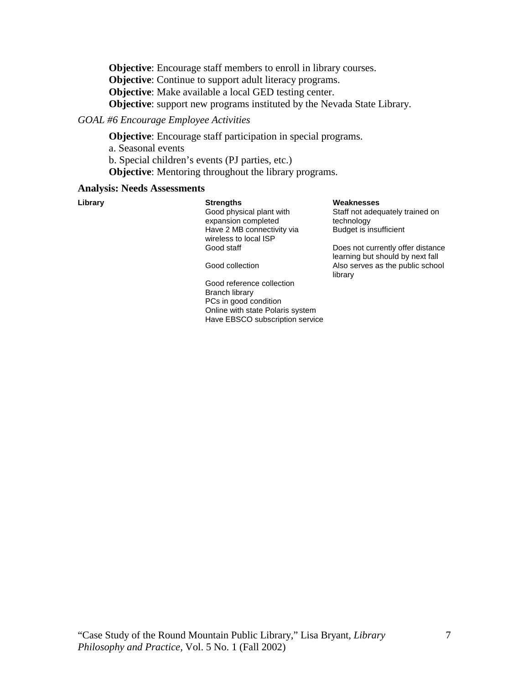**Objective**: Encourage staff members to enroll in library courses. **Objective:** Continue to support adult literacy programs. **Objective**: Make available a local GED testing center. **Objective**: support new programs instituted by the Nevada State Library.

## *GOAL #6 Encourage Employee Activities*

**Objective**: Encourage staff participation in special programs.

a. Seasonal events

b. Special children's events (PJ parties, etc.)

**Objective**: Mentoring throughout the library programs.

#### **Analysis: Needs Assessments**

 Good physical plant with expansion completed Have 2 MB connectivity via wireless to local ISP<br>Good staff

**Library Strengths Weaknesses** 

Staff not adequately trained on technology Budget is insufficient

Does not currently offer distance learning but should by next fall Good collection Also serves as the public school library

 Good reference collection Branch library PCs in good condition Online with state Polaris system Have EBSCO subscription service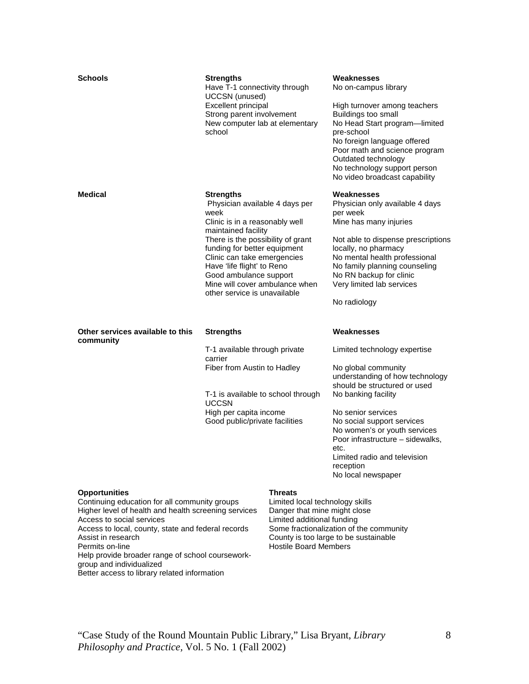| <b>Schools</b>                   | <b>Strengths</b><br>Have T-1 connectivity through<br><b>UCCSN</b> (unused)<br>Excellent principal<br>Strong parent involvement<br>New computer lab at elementary<br>school                                                                                                                                                                        |  | Weaknesses<br>No on-campus library<br>High turnover among teachers<br>Buildings too small<br>No Head Start program-limited<br>pre-school<br>No foreign language offered<br>Poor math and science program<br>Outdated technology<br>No technology support person<br>No video broadcast capability                                                 |
|----------------------------------|---------------------------------------------------------------------------------------------------------------------------------------------------------------------------------------------------------------------------------------------------------------------------------------------------------------------------------------------------|--|--------------------------------------------------------------------------------------------------------------------------------------------------------------------------------------------------------------------------------------------------------------------------------------------------------------------------------------------------|
| <b>Medical</b>                   | <b>Strengths</b><br>Physician available 4 days per<br>week<br>Clinic is in a reasonably well<br>maintained facility<br>There is the possibility of grant<br>funding for better equipment<br>Clinic can take emergencies<br>Have 'life flight' to Reno<br>Good ambulance support<br>Mine will cover ambulance when<br>other service is unavailable |  | Weaknesses<br>Physician only available 4 days<br>per week<br>Mine has many injuries<br>Not able to dispense prescriptions<br>locally, no pharmacy<br>No mental health professional<br>No family planning counseling<br>No RN backup for clinic<br>Very limited lab services<br>No radiology                                                      |
|                                  | <b>Strengths</b>                                                                                                                                                                                                                                                                                                                                  |  |                                                                                                                                                                                                                                                                                                                                                  |
| Other services available to this |                                                                                                                                                                                                                                                                                                                                                   |  | Weaknesses                                                                                                                                                                                                                                                                                                                                       |
| community                        | T-1 available through private<br>carrier<br>Fiber from Austin to Hadley<br>T-1 is available to school through<br><b>UCCSN</b><br>High per capita income<br>Good public/private facilities                                                                                                                                                         |  | Limited technology expertise<br>No global community<br>understanding of how technology<br>should be structured or used<br>No banking facility<br>No senior services<br>No social support services<br>No women's or youth services<br>Poor infrastructure - sidewalks,<br>etc.<br>Limited radio and television<br>reception<br>No local newspaper |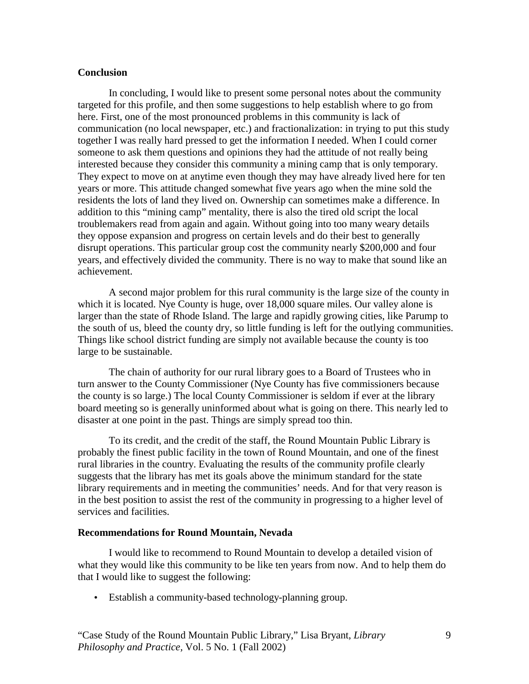## **Conclusion**

In concluding, I would like to present some personal notes about the community targeted for this profile, and then some suggestions to help establish where to go from here. First, one of the most pronounced problems in this community is lack of communication (no local newspaper, etc.) and fractionalization: in trying to put this study together I was really hard pressed to get the information I needed. When I could corner someone to ask them questions and opinions they had the attitude of not really being interested because they consider this community a mining camp that is only temporary. They expect to move on at anytime even though they may have already lived here for ten years or more. This attitude changed somewhat five years ago when the mine sold the residents the lots of land they lived on. Ownership can sometimes make a difference. In addition to this "mining camp" mentality, there is also the tired old script the local troublemakers read from again and again. Without going into too many weary details they oppose expansion and progress on certain levels and do their best to generally disrupt operations. This particular group cost the community nearly \$200,000 and four years, and effectively divided the community. There is no way to make that sound like an achievement.

A second major problem for this rural community is the large size of the county in which it is located. Nye County is huge, over 18,000 square miles. Our valley alone is larger than the state of Rhode Island. The large and rapidly growing cities, like Parump to the south of us, bleed the county dry, so little funding is left for the outlying communities. Things like school district funding are simply not available because the county is too large to be sustainable.

The chain of authority for our rural library goes to a Board of Trustees who in turn answer to the County Commissioner (Nye County has five commissioners because the county is so large.) The local County Commissioner is seldom if ever at the library board meeting so is generally uninformed about what is going on there. This nearly led to disaster at one point in the past. Things are simply spread too thin.

To its credit, and the credit of the staff, the Round Mountain Public Library is probably the finest public facility in the town of Round Mountain, and one of the finest rural libraries in the country. Evaluating the results of the community profile clearly suggests that the library has met its goals above the minimum standard for the state library requirements and in meeting the communities' needs. And for that very reason is in the best position to assist the rest of the community in progressing to a higher level of services and facilities.

## **Recommendations for Round Mountain, Nevada**

I would like to recommend to Round Mountain to develop a detailed vision of what they would like this community to be like ten years from now. And to help them do that I would like to suggest the following:

• Establish a community-based technology-planning group.